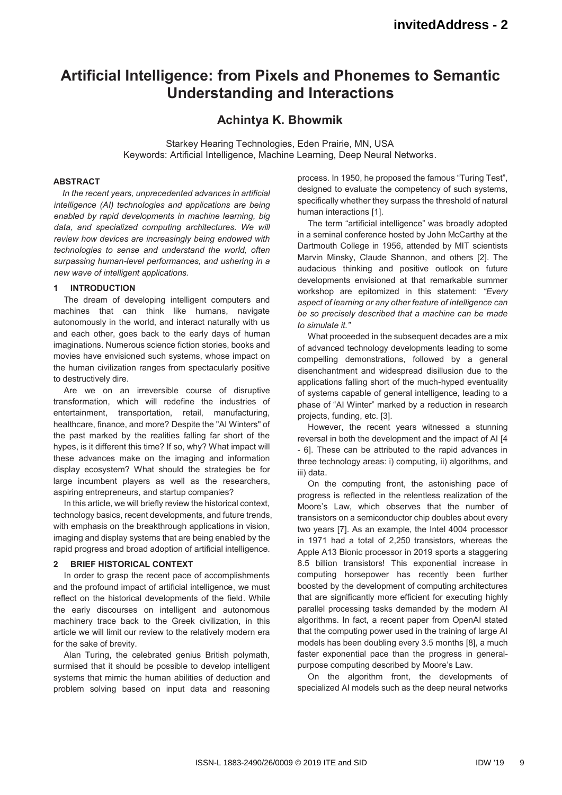# **Artificial Intelligence: from Pixels and Phonemes to Semantic Understanding and Interactions**

# **Achintya K. Bhowmik**

Starkey Hearing Technologies, Eden Prairie, MN, USA Keywords: Artificial Intelligence, Machine Learning, Deep Neural Networks.

# **ABSTRACT**

*In the recent years, unprecedented advances in artificial intelligence (AI) technologies and applications are being enabled by rapid developments in machine learning, big data, and specialized computing architectures. We will review how devices are increasingly being endowed with technologies to sense and understand the world, often surpassing human-level performances, and ushering in a new wave of intelligent applications.* 

#### **1 INTRODUCTION**

The dream of developing intelligent computers and machines that can think like humans, navigate autonomously in the world, and interact naturally with us and each other, goes back to the early days of human imaginations. Numerous science fiction stories, books and movies have envisioned such systems, whose impact on the human civilization ranges from spectacularly positive to destructively dire.

Are we on an irreversible course of disruptive transformation, which will redefine the industries of entertainment, transportation, retail, manufacturing, healthcare, finance, and more? Despite the "AI Winters" of the past marked by the realities falling far short of the hypes, is it different this time? If so, why? What impact will these advances make on the imaging and information display ecosystem? What should the strategies be for large incumbent players as well as the researchers, aspiring entrepreneurs, and startup companies?

In this article, we will briefly review the historical context. technology basics, recent developments, and future trends, with emphasis on the breakthrough applications in vision, imaging and display systems that are being enabled by the rapid progress and broad adoption of artificial intelligence.

## **2 BRIEF HISTORICAL CONTEXT**

In order to grasp the recent pace of accomplishments and the profound impact of artificial intelligence, we must reflect on the historical developments of the field. While the early discourses on intelligent and autonomous machinery trace back to the Greek civilization, in this article we will limit our review to the relatively modern era for the sake of brevity.

Alan Turing, the celebrated genius British polymath, surmised that it should be possible to develop intelligent systems that mimic the human abilities of deduction and problem solving based on input data and reasoning

process. In 1950, he proposed the famous "Turing Test", designed to evaluate the competency of such systems, specifically whether they surpass the threshold of natural human interactions [1].

The term "artificial intelligence" was broadly adopted in a seminal conference hosted by John McCarthy at the Dartmouth College in 1956, attended by MIT scientists Marvin Minsky, Claude Shannon, and others [2]. The audacious thinking and positive outlook on future developments envisioned at that remarkable summer workshop are epitomized in this statement: *"Every aspect of learning or any other feature of intelligence can be so precisely described that a machine can be made to simulate it."*

What proceeded in the subsequent decades are a mix of advanced technology developments leading to some compelling demonstrations, followed by a general disenchantment and widespread disillusion due to the applications falling short of the much-hyped eventuality of systems capable of general intelligence, leading to a phase of "AI Winter" marked by a reduction in research projects, funding, etc. [3].

However, the recent years witnessed a stunning reversal in both the development and the impact of AI [4 - 6]. These can be attributed to the rapid advances in three technology areas: i) computing, ii) algorithms, and iii) data.

On the computing front, the astonishing pace of progress is reflected in the relentless realization of the Moore's Law, which observes that the number of transistors on a semiconductor chip doubles about every two years [7]. As an example, the Intel 4004 processor in 1971 had a total of 2,250 transistors, whereas the Apple A13 Bionic processor in 2019 sports a staggering 8.5 billion transistors! This exponential increase in computing horsepower has recently been further boosted by the development of computing architectures that are significantly more efficient for executing highly parallel processing tasks demanded by the modern AI algorithms. In fact, a recent paper from OpenAI stated that the computing power used in the training of large AI models has been doubling every 3.5 months [8], a much faster exponential pace than the progress in generalpurpose computing described by Moore's Law.

On the algorithm front, the developments of specialized AI models such as the deep neural networks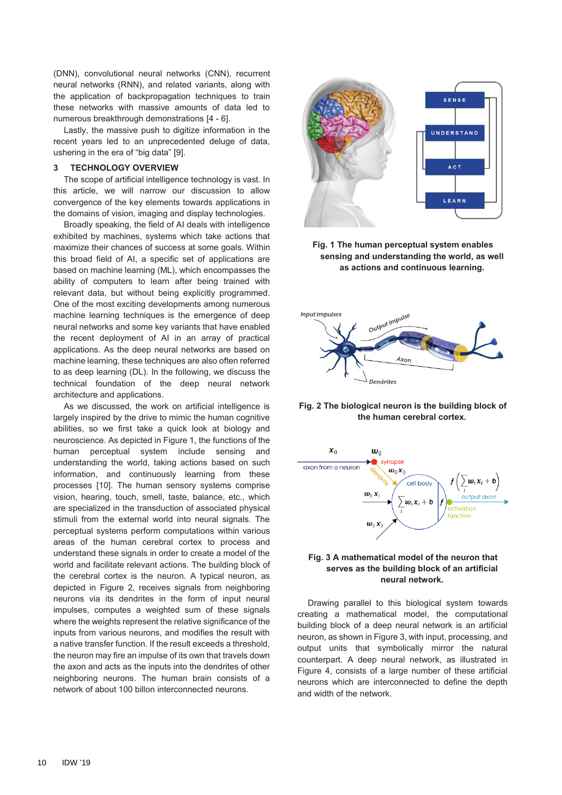(DNN), convolutional neural networks (CNN), recurrent neural networks (RNN), and related variants, along with the application of backpropagation techniques to train these networks with massive amounts of data led to numerous breakthrough demonstrations [4 - 6].

Lastly, the massive push to digitize information in the recent years led to an unprecedented deluge of data, ushering in the era of "big data" [9].

#### **3 TECHNOLOGY OVERVIEW**

The scope of artificial intelligence technology is vast. In this article, we will narrow our discussion to allow convergence of the key elements towards applications in the domains of vision, imaging and display technologies.

Broadly speaking, the field of AI deals with intelligence exhibited by machines, systems which take actions that maximize their chances of success at some goals. Within this broad field of AI, a specific set of applications are based on machine learning (ML), which encompasses the ability of computers to learn after being trained with relevant data, but without being explicitly programmed. One of the most exciting developments among numerous machine learning techniques is the emergence of deep neural networks and some key variants that have enabled the recent deployment of AI in an array of practical applications. As the deep neural networks are based on machine learning, these techniques are also often referred to as deep learning (DL). In the following, we discuss the technical foundation of the deep neural network architecture and applications.

As we discussed, the work on artificial intelligence is largely inspired by the drive to mimic the human cognitive abilities, so we first take a quick look at biology and neuroscience. As depicted in Figure 1, the functions of the human perceptual system include sensing and understanding the world, taking actions based on such information, and continuously learning from these processes [10]. The human sensory systems comprise vision, hearing, touch, smell, taste, balance, etc., which are specialized in the transduction of associated physical stimuli from the external world into neural signals. The perceptual systems perform computations within various areas of the human cerebral cortex to process and understand these signals in order to create a model of the world and facilitate relevant actions. The building block of the cerebral cortex is the neuron. A typical neuron, as depicted in Figure 2, receives signals from neighboring neurons via its dendrites in the form of input neural impulses, computes a weighted sum of these signals where the weights represent the relative significance of the inputs from various neurons, and modifies the result with a native transfer function. If the result exceeds a threshold, the neuron may fire an impulse of its own that travels down the axon and acts as the inputs into the dendrites of other neighboring neurons. The human brain consists of a network of about 100 billon interconnected neurons.



**Fig. 1 The human perceptual system enables sensing and understanding the world, as well as actions and continuous learning.** 



**Fig. 2 The biological neuron is the building block of the human cerebral cortex.** 



## **Fig. 3 A mathematical model of the neuron that serves as the building block of an artificial neural network.**

Drawing parallel to this biological system towards creating a mathematical model, the computational building block of a deep neural network is an artificial neuron, as shown in Figure 3, with input, processing, and output units that symbolically mirror the natural counterpart. A deep neural network, as illustrated in Figure 4, consists of a large number of these artificial neurons which are interconnected to define the depth and width of the network.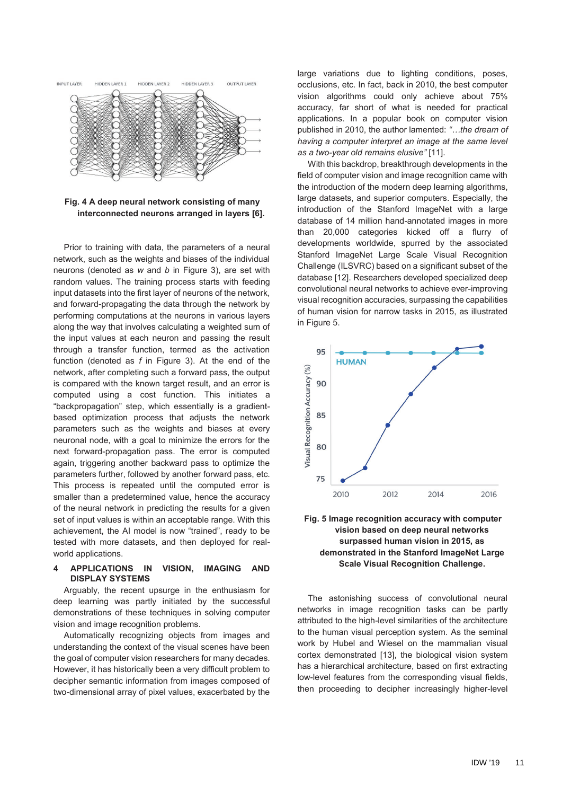

**Fig. 4 A deep neural network consisting of many interconnected neurons arranged in layers [6].** 

Prior to training with data, the parameters of a neural network, such as the weights and biases of the individual neurons (denoted as *w* and *b* in Figure 3), are set with random values. The training process starts with feeding input datasets into the first layer of neurons of the network, and forward-propagating the data through the network by performing computations at the neurons in various layers along the way that involves calculating a weighted sum of the input values at each neuron and passing the result through a transfer function, termed as the activation function (denoted as *f* in Figure 3). At the end of the network, after completing such a forward pass, the output is compared with the known target result, and an error is computed using a cost function. This initiates a "backpropagation" step, which essentially is a gradientbased optimization process that adjusts the network parameters such as the weights and biases at every neuronal node, with a goal to minimize the errors for the next forward-propagation pass. The error is computed again, triggering another backward pass to optimize the parameters further, followed by another forward pass, etc. This process is repeated until the computed error is smaller than a predetermined value, hence the accuracy of the neural network in predicting the results for a given set of input values is within an acceptable range. With this achievement, the AI model is now "trained", ready to be tested with more datasets, and then deployed for realworld applications.

#### **4 APPLICATIONS IN VISION, IMAGING AND DISPLAY SYSTEMS**

Arguably, the recent upsurge in the enthusiasm for deep learning was partly initiated by the successful demonstrations of these techniques in solving computer vision and image recognition problems.

Automatically recognizing objects from images and understanding the context of the visual scenes have been the goal of computer vision researchers for many decades. However, it has historically been a very difficult problem to decipher semantic information from images composed of two-dimensional array of pixel values, exacerbated by the

large variations due to lighting conditions, poses, occlusions, etc. In fact, back in 2010, the best computer vision algorithms could only achieve about 75% accuracy, far short of what is needed for practical applications. In a popular book on computer vision published in 2010, the author lamented: *"…the dream of having a computer interpret an image at the same level as a two-year old remains elusive"* [11].

With this backdrop, breakthrough developments in the field of computer vision and image recognition came with the introduction of the modern deep learning algorithms, large datasets, and superior computers. Especially, the introduction of the Stanford ImageNet with a large database of 14 million hand-annotated images in more than 20,000 categories kicked off a flurry of developments worldwide, spurred by the associated Stanford ImageNet Large Scale Visual Recognition Challenge (ILSVRC) based on a significant subset of the database [12]. Researchers developed specialized deep convolutional neural networks to achieve ever-improving visual recognition accuracies, surpassing the capabilities of human vision for narrow tasks in 2015, as illustrated in Figure 5.



**Fig. 5 Image recognition accuracy with computer vision based on deep neural networks surpassed human vision in 2015, as demonstrated in the Stanford ImageNet Large Scale Visual Recognition Challenge.** 

The astonishing success of convolutional neural networks in image recognition tasks can be partly attributed to the high-level similarities of the architecture to the human visual perception system. As the seminal work by Hubel and Wiesel on the mammalian visual cortex demonstrated [13], the biological vision system has a hierarchical architecture, based on first extracting low-level features from the corresponding visual fields, then proceeding to decipher increasingly higher-level